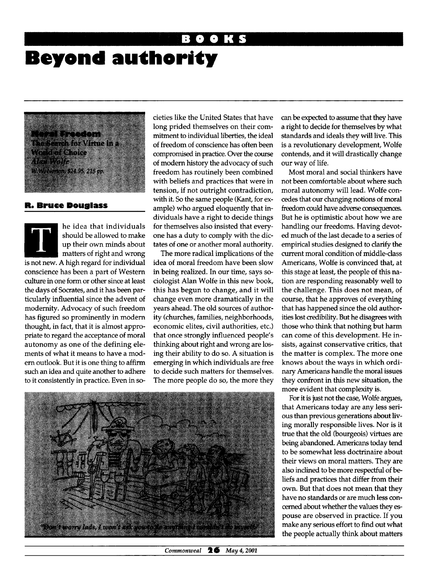## **Beyond authority**

a da ya mwaka ya matu extensibler Virtue in 2 W. W. Werton, \$24.95, 215 pp.

## **R. Bruce Douglass**

he idea that individuals should be allowed to make up their own minds about matters of right and wrong is not new. A high regard for individual conscience has been a part of Western culture in one form or other since at least the days of Socrates, and it has been particularly influential since the advent of modernity. Advocacy of such freedom has figured so prominently in modern thought, in fact, that it is almost appropriate to regard the acceptance of moral autonomy as one of the defining elements of what it means to have a modern outlook. But it is one thing to affirm such an idea and quite another to adhere to it consistently in practice. Even in societies like the United States that have long prided themselves on their commitment to individual liberties, the ideal of freedom of conscience has often been compromised in practice. Over the course of modern history the advocacy of such freedom has routinely been combined with beliefs and practices that were in tension, if not outright contradiction, with it. So the same people (Kant, for example) who argued eloquently that individuals have a right to decide things for themselves also insisted that everyone has a duty to comply with the dictates of one or another moral authority.

The more radical implications of the idea of moral freedom have been slow in being realized. In our time, says sociologist Alan Wolfe in this new book, this has begun to change, and it will change even more dramatically in the years ahead. The old sources of authority (churches, families, neighborhoods, economic elites, civil authorities, etc.) that once strongly influenced people's thinking about right and wrong are losing their ability to do so. A situation is emerging in which individuals are free to decide such matters for themselves. The more people do so, the more they



can be expected to assume that they have a right to decide for themselves by what standards and ideals they will live. This is a revolutionary development, Wolfe contends, and it will drastically change our way of life.

Most moral and social thinkers have not been comfortable about where such moral autonomy will lead. Wolfe concedes that our changing notions of moral freedom could have adverse consequences. But he is optimistic about how we are handling our freedoms. Having devoted much of the last decade to a series of empirical studies designed to clarify the current moral condition of middle-class Americans, Wolfe is convinced that, at this stage at least, the people of this nation are responding reasonably well to the challenge. This does not mean, of course, that he approves of everything that has happened since the old authorities lost credibility. But he disagrees with those who think that nothing but harm can come of this development. He insists, against conservative critics, that the matter is complex. The more one knows about the ways in which ordinary Americans handle the moral issues they confront in this new situation, the more evident that complexity is.

For it is just not the case, Wolfe argues, that Americans today are any less serious than previous generations about living morally responsible lives. Nor is it true that the old (bourgeois) virtues are being abandoned. Americans today tend to be somewhat less doctrinaire about their views on moral matters. They are also inclined to be more respectful of beliefs and practices that differ from their own. But that does not mean that they have no standards or are much less concerned about whether the values they espouse are observed in practice. If you make any serious effort to find out what the people actually think about matters